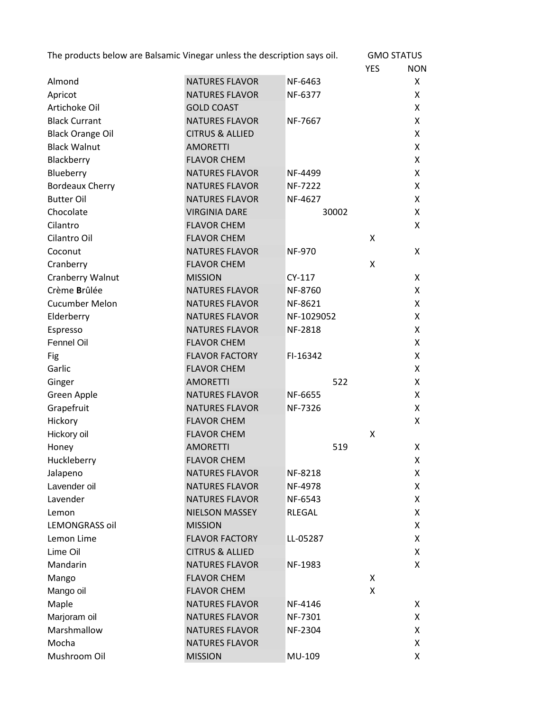| The products below are Balsamic Vinegar unless the description says oil. |                            |                | <b>GMO STATUS</b> |            |
|--------------------------------------------------------------------------|----------------------------|----------------|-------------------|------------|
|                                                                          |                            |                | <b>YES</b>        | <b>NON</b> |
| Almond                                                                   | <b>NATURES FLAVOR</b>      | NF-6463        |                   | X.         |
| Apricot                                                                  | <b>NATURES FLAVOR</b>      | NF-6377        |                   | X          |
| Artichoke Oil                                                            | <b>GOLD COAST</b>          |                |                   | X          |
| <b>Black Currant</b>                                                     | <b>NATURES FLAVOR</b>      | NF-7667        |                   | X.         |
| <b>Black Orange Oil</b>                                                  | <b>CITRUS &amp; ALLIED</b> |                |                   | X          |
| <b>Black Walnut</b>                                                      | <b>AMORETTI</b>            |                |                   | X          |
| Blackberry                                                               | <b>FLAVOR CHEM</b>         |                |                   | X          |
| Blueberry                                                                | <b>NATURES FLAVOR</b>      | NF-4499        |                   | X.         |
| <b>Bordeaux Cherry</b>                                                   | <b>NATURES FLAVOR</b>      | NF-7222        |                   | X          |
| <b>Butter Oil</b>                                                        | <b>NATURES FLAVOR</b>      | NF-4627        |                   | X          |
| Chocolate                                                                | <b>VIRGINIA DARE</b>       | 30002          |                   | X          |
| Cilantro                                                                 | <b>FLAVOR CHEM</b>         |                |                   | X          |
| Cilantro Oil                                                             | <b>FLAVOR CHEM</b>         |                | X                 |            |
| Coconut                                                                  | <b>NATURES FLAVOR</b>      | <b>NF-970</b>  |                   | X          |
| Cranberry                                                                | <b>FLAVOR CHEM</b>         |                | X                 |            |
| Cranberry Walnut                                                         | <b>MISSION</b>             | CY-117         |                   | X.         |
| Crème Brûlée                                                             | <b>NATURES FLAVOR</b>      | NF-8760        |                   | X          |
| <b>Cucumber Melon</b>                                                    | <b>NATURES FLAVOR</b>      | NF-8621        |                   | X          |
| Elderberry                                                               | <b>NATURES FLAVOR</b>      | NF-1029052     |                   | X          |
| Espresso                                                                 | <b>NATURES FLAVOR</b>      | <b>NF-2818</b> |                   | X.         |
| Fennel Oil                                                               | <b>FLAVOR CHEM</b>         |                |                   | X          |
| Fig                                                                      | <b>FLAVOR FACTORY</b>      | FI-16342       |                   | X          |
| Garlic                                                                   | <b>FLAVOR CHEM</b>         |                |                   | X.         |
| Ginger                                                                   | <b>AMORETTI</b>            | 522            |                   | X          |
| Green Apple                                                              | <b>NATURES FLAVOR</b>      | NF-6655        |                   | X          |
| Grapefruit                                                               | <b>NATURES FLAVOR</b>      | NF-7326        |                   | X          |
| Hickory                                                                  | <b>FLAVOR CHEM</b>         |                |                   | X.         |
| Hickory oil                                                              | <b>FLAVOR CHEM</b>         |                | x                 |            |
| Honey                                                                    | <b>AMORETTI</b>            | 519            |                   | X.         |
| Huckleberry                                                              | <b>FLAVOR CHEM</b>         |                |                   | X          |
| Jalapeno                                                                 | <b>NATURES FLAVOR</b>      | NF-8218        |                   | X.         |
| Lavender oil                                                             | <b>NATURES FLAVOR</b>      | NF-4978        |                   | X          |
| Lavender                                                                 | <b>NATURES FLAVOR</b>      | NF-6543        |                   | X          |
| Lemon                                                                    | NIELSON MASSEY             | <b>RLEGAL</b>  |                   | X          |
| <b>LEMONGRASS oil</b>                                                    | <b>MISSION</b>             |                |                   | X.         |
| Lemon Lime                                                               | <b>FLAVOR FACTORY</b>      | LL-05287       |                   | X          |
| Lime Oil                                                                 | <b>CITRUS &amp; ALLIED</b> |                |                   | X.         |
| Mandarin                                                                 | <b>NATURES FLAVOR</b>      | NF-1983        |                   | X          |
| Mango                                                                    | <b>FLAVOR CHEM</b>         |                | X                 |            |
| Mango oil                                                                | <b>FLAVOR CHEM</b>         |                | x                 |            |
| Maple                                                                    | <b>NATURES FLAVOR</b>      | NF-4146        |                   | X.         |
| Marjoram oil                                                             | <b>NATURES FLAVOR</b>      | NF-7301        |                   | X.         |
| Marshmallow                                                              | <b>NATURES FLAVOR</b>      | NF-2304        |                   | X          |
| Mocha                                                                    | <b>NATURES FLAVOR</b>      |                |                   | X          |
| Mushroom Oil                                                             | <b>MISSION</b>             | MU-109         |                   | X          |